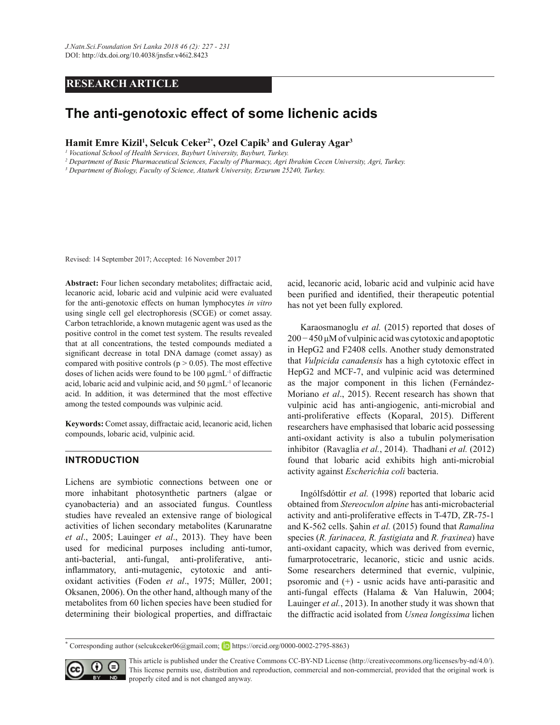# **RESEARCH ARTICLE**

# **The anti-genotoxic effect of some lichenic acids**

 ${\bf Hamit~ Euril}$  ,  ${\bf Sel}$ cuk  ${\bf Ceker}^{2*}$ ,  ${\bf Ozel~Capik}^3$  and  ${\bf Guler}$   ${\bf Agar}^3$ 

*1 Vocational School of Health Services, Bayburt University, Bayburt, Turkey.*

*2 Department of Basic Pharmaceutical Sciences, Faculty of Pharmacy, Agri Ibrahim Cecen University, Agri, Turkey.*

*3 Department of Biology, Faculty of Science, Ataturk University, Erzurum 25240, Turkey.*

Revised: 14 September 2017; Accepted: 16 November 2017

**Abstract:** Four lichen secondary metabolites; diffractaic acid, lecanoric acid, lobaric acid and vulpinic acid were evaluated for the anti-genotoxic effects on human lymphocytes *in vitro* using single cell gel electrophoresis (SCGE) or comet assay. Carbon tetrachloride, a known mutagenic agent was used as the positive control in the comet test system. The results revealed that at all concentrations, the tested compounds mediated a significant decrease in total DNA damage (comet assay) as compared with positive controls ( $p > 0.05$ ). The most effective doses of lichen acids were found to be  $100 \mu g m L^{-1}$  of diffractic acid, lobaric acid and vulpinic acid, and 50  $\mu$ gmL<sup>-1</sup> of lecanoric acid. In addition, it was determined that the most effective among the tested compounds was vulpinic acid.

Keywords: Comet assay, diffractaic acid, lecanoric acid, lichen compounds, lobaric acid, vulpinic acid.

## **INTRODUCTION**

Lichens are symbiotic connections between one or more inhabitant photosynthetic partners (algae or cyanobacteria) and an associated fungus. Countless studies have revealed an extensive range of biological activities of lichen secondary metabolites (Karunaratne *et al.*, 2005; Lauinger *et al.*, 2013). They have been used for medicinal purposes including anti-tumor, anti-bacterial, anti-fungal, anti-proliferative, antiinflammatory, anti-mutagenic, cytotoxic and antioxidant activities (Foden et al., 1975; Müller, 2001; Oksanen, 2006). On the other hand, although many of the metabolites from 60 lichen species have been studied for determining their biological properties, and diffractaic

acid, lecanoric acid, lobaric acid and vulpinic acid have been purified and identified, their therapeutic potential has not yet been fully explored.

Karaosmanoglu et al. (2015) reported that doses of  $200 - 450 \mu M$  of vulpinic acid was cytotoxic and apoptotic in HepG2 and F2408 cells. Another study demonstrated that *Vulpicida canadensis* has a high cytotoxic effect in HepG2 and MCF-7, and vulpinic acid was determined as the major component in this lichen (Fernández-Moriano et al., 2015). Recent research has shown that vulpinic acid has anti-angiogenic, anti-microbial and anti-proliferative effects (Koparal, 2015). Different researchers have emphasised that lobaric acid possessing anti-oxidant activity is also a tubulin polymerisation inhibitor (Ravaglia *et al.*, 2014).Thadhani *et al.* (2012) found that lobaric acid exhibits high anti-microbial activity against *Escherichia coli* bacteria.

Ingólfsdóttir et al. (1998) reported that lobaric acid obtained from *Stereoculon alpine* has anti-microbacterial activity and anti-proliferative effects in T-47D, ZR-75-1 and K-562 cells. Sahin *et al.* (2015) found that *Ramalina* species (*R. farinacea, R. fastigiata* and *R. fraxinea*) have anti-oxidant capacity, which was derived from evernic, fumarprotocetraric, lecanoric, sticic and usnic acids. Some researchers determined that evernic, vulpinic, psoromic and (+) - usnic acids have anti-parasitic and anti-fungal effects (Halama  $&$  Van Haluwin, 2004; Lauinger et al., 2013). In another study it was shown that the diffractic acid isolated from *Usnea longissima* lichen

<sup>\*</sup> Corresponding author (selcukceker06@gmail.com; **ID** https://orcid.org/0000-0002-2795-8863)



This article is published under the Creative Commons CC-BY-ND License (http://creativecommons.org/licenses/by-nd/4.0/). This license permits use, distribution and reproduction, commercial and non-commercial, provided that the original work is  $\overline{SD}$  properly cited and is not changed anyway.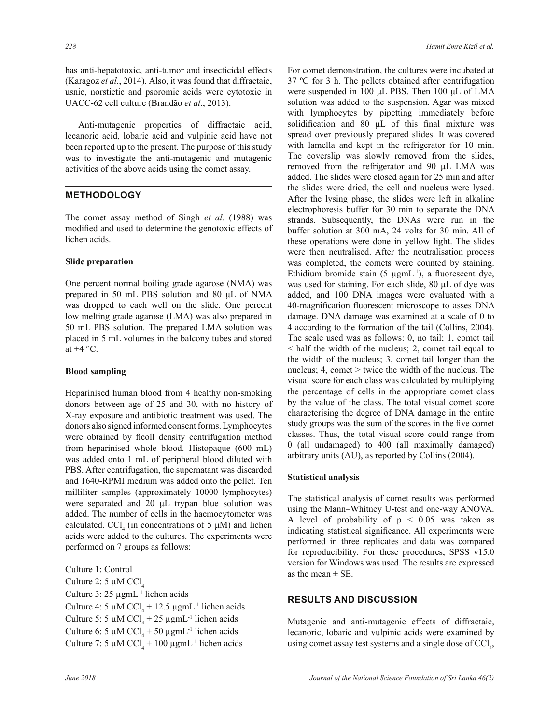has anti-hepatotoxic, anti-tumor and insecticidal effects (Karagoz et al., 2014). Also, it was found that diffractaic, usnic, norstictic and psoromic acids were cytotoxic in UACC-62 cell culture (Brandão et al., 2013).

 Anti-mutagenic properties of diffractaic acid, lecanoric acid, lobaric acid and vulpinic acid have not been reported up to the present. The purpose of this study was to investigate the anti-mutagenic and mutagenic activities of the above acids using the comet assay.

# **METHODOLOGY**

The comet assay method of Singh *et al.* (1988) was modified and used to determine the genotoxic effects of lichen acids.

#### **Slide preparation**

One percent normal boiling grade agarose (NMA) was prepared in 50 mL PBS solution and 80  $\mu$ L of NMA was dropped to each well on the slide. One percent low melting grade agarose (LMA) was also prepared in 50 mL PBS solution. The prepared LMA solution was placed in 5 mL volumes in the balcony tubes and stored at  $+4$  °C.

## **Blood** sampling

Heparinised human blood from 4 healthy non-smoking donors between age of 25 and 30, with no history of X-ray exposure and antibiotic treatment was used. The donors also signed informed consent forms. Lymphocytes were obtained by ficoll density centrifugation method from heparinised whole blood. Histopaque (600 mL) was added onto 1 mL of peripheral blood diluted with PBS. After centrifugation, the supernatant was discarded and 1640-RPMI medium was added onto the pellet. Ten milliliter samples (approximately 10000 lymphocytes) were separated and 20 µL trypan blue solution was added. The number of cells in the haemocytometer was calculated. CCl<sub>4</sub> (in concentrations of 5  $\mu$ M) and lichen acids were added to the cultures. The experiments were performed on 7 groups as follows:

Culture 1: Control Culture 2:  $5 \mu M$  CCl<sub>4</sub> Culture 3:  $25 \mu$ gmL<sup>-1</sup> lichen acids Culture 4: 5  $\mu$ M CCl<sub>4</sub> + 12.5  $\mu$ gmL<sup>-1</sup> lichen acids Culture 5: 5  $\mu$ M CCl<sub>4</sub> + 25  $\mu$ gmL<sup>-1</sup> lichen acids Culture 6: 5  $\mu$ M CCl<sub>4</sub> + 50  $\mu$ gmL<sup>-1</sup> lichen acids Culture 7: 5  $\mu$ M CCl<sub>4</sub> + 100  $\mu$ gmL<sup>-1</sup> lichen acids

For comet demonstration, the cultures were incubated at  $37$  °C for 3 h. The pellets obtained after centrifugation were suspended in 100 µL PBS. Then 100 µL of LMA solution was added to the suspension. Agar was mixed with lymphocytes by pipetting immediately before solidification and 80 µL of this final mixture was spread over previously prepared slides. It was covered with lamella and kept in the refrigerator for 10 min. The coverslip was slowly removed from the slides, removed from the refrigerator and 90 µL LMA was added. The slides were closed again for 25 min and after the slides were dried, the cell and nucleus were lysed. After the lysing phase, the slides were left in alkaline electrophoresis buffer for 30 min to separate the DNA strands. Subsequently, the DNAs were run in the buffer solution at 300 mA, 24 volts for 30 min. All of these operations were done in yellow light. The slides were then neutralised. After the neutralisation process was completed, the comets were counted by staining. Ethidium bromide stain (5  $\mu$ gmL<sup>-1</sup>), a fluorescent dye, was used for staining. For each slide,  $80 \mu L$  of dye was added, and 100 DNA images were evaluated with a 40-magnification fluorescent microscope to asses DNA damage. DNA damage was examined at a scale of 0 to 4 according to the formation of the tail (Collins, 2004). The scale used was as follows: 0, no tail; 1, comet tail  $\le$  half the width of the nucleus; 2, comet tail equal to the width of the nucleus; 3, comet tail longer than the nucleus: 4, comet  $>$  twice the width of the nucleus. The visual score for each class was calculated by multiplying the percentage of cells in the appropriate comet class by the value of the class. The total visual comet score characterising the degree of DNA damage in the entire study groups was the sum of the scores in the five comet classes. Thus, the total visual score could range from 0 (all undamaged) to 400 (all maximally damaged) arbitrary units (AU), as reported by Collins  $(2004)$ .

## **Statistical analysis**

The statistical analysis of comet results was performed using the Mann-Whitney U-test and one-way ANOVA. A level of probability of  $p \leq 0.05$  was taken as indicating statistical significance. All experiments were performed in three replicates and data was compared for reproducibility. For these procedures, SPSS  $v15.0$ version for Windows was used. The results are expressed as the mean  $\pm$  SE.

## **RESULTS AND DISCUSSION**

Mutagenic and anti-mutagenic effects of diffractaic, lecanoric, lobaric and vulpinic acids were examined by using comet assay test systems and a single dose of  $\text{CCI}_4$ ,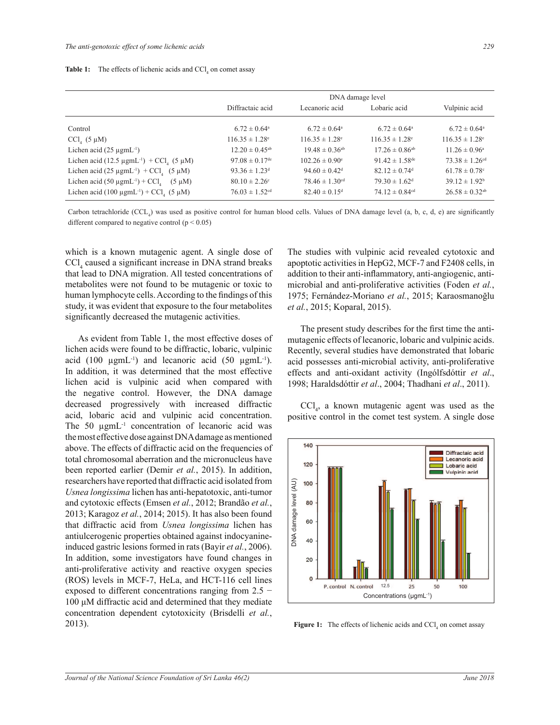Lichen acid (25  $\mu$ gmL<sup>-1</sup>) + CCl<sub>4</sub> (5  $\mu$ M)

Lichen acid (50  $\mu$ gmL<sup>-1</sup>) + CCl<sub>4</sub> (5  $\mu$ M)

Lichen acid (100  $\mu$ gmL<sup>-1</sup>) + CCl<sub>4</sub> (5  $\mu$ M)

| <b>Table 1:</b> The effects of lichenic acids and $CCl_4$ on comet assay |  |
|--------------------------------------------------------------------------|--|
|--------------------------------------------------------------------------|--|

|                                                                            | DNA damage level               |                                |                                |                                |
|----------------------------------------------------------------------------|--------------------------------|--------------------------------|--------------------------------|--------------------------------|
|                                                                            | Diffractaic acid               | Lecanoric acid                 | Lobaric acid                   | Vulpinic acid                  |
| Control                                                                    | $6.72 \pm 0.64^{\circ}$        | $6.72 \pm 0.64^{\circ}$        | $6.72 \pm 0.64^{\circ}$        | $6.72 \pm 0.64$ <sup>a</sup>   |
| CCl $(5 \mu M)$                                                            | $116.35 \pm 1.28$ <sup>e</sup> | $116.35 \pm 1.28$ <sup>e</sup> | $116.35 \pm 1.28^e$            | $116.35 \pm 1.28$ <sup>e</sup> |
| Lichen acid $(25 \mu gmL^{-1})$                                            | $12.20 \pm 0.45$ <sup>ab</sup> | $19.48 \pm 0.36$ <sup>ab</sup> | $17.26 \pm 0.86$ <sup>ab</sup> | $11.26 \pm 0.96^{\circ}$       |
| Lichen acid (12.5 $\mu$ gmL <sup>-1</sup> ) + CCl <sub>4</sub> (5 $\mu$ M) | $97.08 \pm 0.17$ <sup>de</sup> | $102.26 \pm 0.90^{\circ}$      | $91.42 \pm 1.58$ <sup>de</sup> | $73.38 \pm 1.26$ <sup>cd</sup> |

 $94.60 \pm 0.42$ <sup>d</sup>

Carbon tetrachloride (CCL<sub>4</sub>) was used as positive control for human blood cells. Values of DNA damage level (a, b, c, d, e) are significantly different compared to negative control ( $p < 0.05$ )

 $76.03 \pm 1.52$ <sup>cd</sup> 82.40  $\pm$  0.15<sup>d</sup>

 $93.36 \pm 1.23$ <sup>d</sup>

 $80.10 \pm 2.26$ <sup>c</sup>

which is a known mutagenic agent. A single dose of  $\text{CCI}_4$  caused a significant increase in DNA strand breaks that lead to DNA migration. All tested concentrations of metabolites were not found to be mutagenic or toxic to human lymphocyte cells. According to the findings of this study, it was evident that exposure to the four metabolites significantly decreased the mutagenic activities.

As evident from Table 1, the most effective doses of lichen acids were found to be diffractic, lobaric, vulpinic acid  $(100 \text{ µgmL}^{-1})$  and lecanoric acid  $(50 \text{ µgmL}^{-1})$ . In addition, it was determined that the most effective lichen acid is vulpinic acid when compared with the negative control. However, the DNA damage decreased progressively with increased diffractic acid, lobaric acid and vulpinic acid concentration. The 50  $\mu$ gmL<sup>-1</sup> concentration of lecanoric acid was the most effective dose against DNA damage as mentioned above. The effects of diffractic acid on the frequencies of total chromosomal aberration and the micronucleus have been reported earlier (Demir *et al.*, 2015). In addition, researchers have reported that diffractic acid isolated from *Usnea longissima* lichen has anti-hepatotoxic, anti-tumor and cytotoxic effects (Emsen et al., 2012; Brandão et al., 2013; Karagoz et al., 2014; 2015). It has also been found that diffractic acid from *Usnea longissima* lichen has antiulcerogenic properties obtained against indocyanineinduced gastric lesions formed in rats (Bayir et al., 2006). In addition, some investigators have found changes in anti-proliferative activity and reactive oxygen species (ROS) levels in MCF-7, HeLa, and HCT-116 cell lines exposed to different concentrations ranging from  $2.5$  - $100 \mu$ M diffractic acid and determined that they mediate concentration dependent cytotoxicity (Brisdelli et al., 2013).

The studies with vulpinic acid revealed cytotoxic and apoptotic activities in HepG2, MCF-7 and  $F2408$  cells, in addition to their anti-inflammatory, anti-angiogenic, antimicrobial and anti-proliferative activities (Foden *et al.*, 1975; Fernández-Moriano et al., 2015; Karaosmanoğlu *et al.*, 2015; Koparal, 2015).

 $82.12 \pm 0.74$ <sup>d</sup>

 $78.46 \pm 1.30$ <sup>cd</sup>  $79.30 \pm 1.62$ <sup>d</sup>

The present study describes for the first time the antimutagenic effects of lecanoric, lobaric and vulpinic acids. Recently, several studies have demonstrated that lobaric acid possesses anti-microbial activity, anti-proliferative effects and anti-oxidant activity (Ingólfsdóttir et al., 1998; Haraldsdóttir et al., 2004; Thadhani et al., 2011).

 $\text{CCI}_4$ , a known mutagenic agent was used as the positive control in the comet test system. A single dose



**Figure 1:** The effects of lichenic acids and  $\text{CCI}_4$  on comet assay

 $61.78 \pm 0.78$ <sup>c</sup>

 $39.12 \pm 1.92$ <sup>b</sup>

 $74.12 \pm 0.84$ <sup>cd</sup>  $26.58 \pm 0.32$ <sup>ab</sup>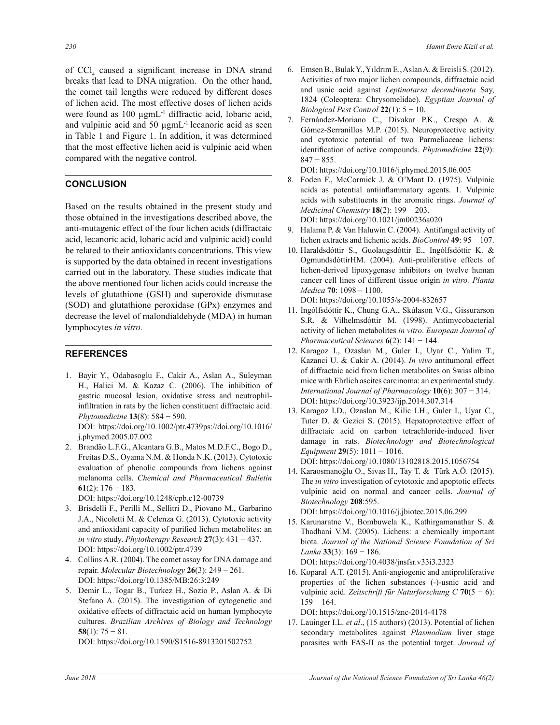of CCl, caused a significant increase in DNA strand breaks that lead to DNA migration. On the other hand, the comet tail lengths were reduced by different doses of lichen acid. The most effective doses of lichen acids were found as 100 ugmL<sup>-1</sup> diffractic acid, lobaric acid, and vulpinic acid and 50 µgmL<sup>-1</sup> lecanoric acid as seen in Table 1 and Figure 1. In addition, it was determined that the most effective lichen acid is vulpinic acid when compared with the negative control.

## **CONCLUSION**

Based on the results obtained in the present study and those obtained in the investigations described above, the anti-mutagenic effect of the four lichen acids (diffractaic acid, lecanoric acid, lobaric acid and vulpinic acid) could be related to their antioxidants concentrations. This view is supported by the data obtained in recent investigations carried out in the laboratory. These studies indicate that the above mentioned four lichen acids could increase the levels of glutathione (GSH) and superoxide dismutase (SOD) and glutathione peroxidase (GPx) enzymes and decrease the level of malondialdehyde (MDA) in human lymphocytes in vitro.

#### **REFERENCES**

1. Bayir Y., Odabasoglu F., Cakir A., Aslan A., Suleyman H., Halici M. & Kazaz C. (2006). The inhibition of gastric mucosal lesion, oxidative stress and neutrophilinfiltration in rats by the lichen constituent diffractaic acid. Phytomedicine  $13(8)$ : 584 - 590.

DOI: https://doi.org/10.1002/ptr.4739ps://doi.org/10.1016/ i.phymed.2005.07.002

2. Brandão L.F.G., Alcantara G.B., Matos M.D.F.C., Bogo D., Freitas D.S., Oyama N.M. & Honda N.K. (2013). Cytotoxic evaluation of phenolic compounds from lichens against melanoma cells. Chemical and Pharmaceutical Bulletin 61(2):  $176 - 183$ .

DOI: https://doi.org/10.1248/cpb.c12-00739

- 3. Brisdelli F., Perilli M., Sellitri D., Piovano M., Garbarino J.A., Nicoletti M. & Celenza G. (2013). Cytotoxic activity and antioxidant capacity of purified lichen metabolites: an in vitro study. Phytotherapy Research  $27(3)$ : 431 - 437. DOI: https://doi.org/10.1002/ptr.4739
- 4. Collins A.R. (2004). The comet assay for DNA damage and repair. Molecular Biotechnology  $26(3)$ : 249 - 261. DOI: https://doi.org/10.1385/MB:26:3:249
- 5. Demir L., Togar B., Turkez H., Sozio P., Aslan A. & Di Stefano A. (2015). The investigation of cytogenetic and oxidative effects of diffractaic acid on human lymphocyte cultures. Brazilian Archives of Biology and Technology  $58(1)$ : 75 - 81.

DOI: https://doi.org/10.1590/S1516-8913201502752

- 6. Emsen B., Bulak Y., Yıldrım E., Aslan A. & Ercisli S. (2012). Activities of two major lichen compounds, diffractaic acid and usnic acid against Leptinotarsa decemlineata Say, 1824 (Coleoptera: Chrysomelidae). Egyptian Journal of Biological Pest Control  $22(1)$ : 5 - 10.
- 7. Fernández-Moriano C., Divakar P.K., Crespo A. & Gómez-Serranillos M.P. (2015). Neuroprotective activity and cytotoxic potential of two Parmeliaceae lichens: identification of active compounds. Phytomedicine 22(9):  $847 - 855$ .

DOI: https://doi.org/10.1016/j.phymed.2015.06.005

- 8. Foden F., McCormick J. & O'Mant D. (1975). Vulpinic acids as potential antiinflammatory agents. 1. Vulpinic acids with substituents in the aromatic rings. Journal of Medicinal Chemistry  $18(2)$ :  $199 - 203$ . DOI: https://doi.org/10.1021/jm00236a020
- 9. Halama P. & Van Haluwin C. (2004). Antifungal activity of lichen extracts and lichenic acids. *BioControl* 49: 95 - 107.
- 10. Haraldsdóttir S., Guolaugsdóttir E., Ingólfsdóttir K. & OgmundsdóttirHM. (2004). Anti-proliferative effects of lichen-derived lipoxygenase inhibitors on twelve human cancer cell lines of different tissue origin in vitro. Planta Medica 70: 1098 - 1100. DOI: https://doi.org/10.1055/s-2004-832657
- 11. Ingólfsdóttir K., Chung G.A., Skúlason V.G., Gissurarson S.R. & Vilhelmsdóttir M. (1998). Antimycobacterial activity of lichen metabolites in vitro. European Journal of Pharmaceutical Sciences  $6(2)$ : 141 - 144.
- 12. Karagoz I., Ozaslan M., Guler I., Uyar C., Yalim T., Kazanci U. & Cakir A. (2014). In vivo antitumoral effect of diffractaic acid from lichen metabolites on Swiss albino mice with Ehrlich ascites carcinoma: an experimental study. International Journal of Pharmacology  $10(6)$ : 307 - 314. DOI: https://doi.org/10.3923/ijp.2014.307.314
- 13. Karagoz I.D., Ozaslan M., Kilic I.H., Guler I., Uyar C., Tuter D. & Gezici S. (2015). Hepatoprotective effect of diffractaic acid on carbon tetrachloride-induced liver damage in rats. Biotechnology and Biotechnological Equipment 29(5):  $1011 - 1016$ .

DOI: https://doi.org/10.1080/13102818.2015.1056754

14. Karaosmanoğlu O., Sivas H., Tay T. & Türk A.Ö. (2015). The *in vitro* investigation of cytotoxic and apoptotic effects vulpinic acid on normal and cancer cells. Journal of Biotechnology 208:595.

DOI: https://doi.org/10.1016/j.jbiotec.2015.06.299

15. Karunaratne V., Bombuwela K., Kathirgamanathar S. & Thadhani V.M. (2005). Lichens: a chemically important biota. Journal of the National Science Foundation of Sri Lanka 33(3):  $169 - 186$ .

DOI: https://doi.org/10.4038/jnsfsr.v33i3.2323

16. Koparal A.T. (2015). Anti-angiogenic and antiproliferative properties of the lichen substances (-)-usnic acid and vulpinic acid. Zeitschrift für Naturforschung C  $70(5 - 6)$ :  $159 - 164$ .

DOI: https://doi.org/10.1515/znc-2014-4178

17. Lauinger I.L. et al., (15 authors) (2013). Potential of lichen secondary metabolites against Plasmodium liver stage parasites with FAS-II as the potential target. Journal of

Journal of the National Science Foundation of Sri Lanka 46(2)